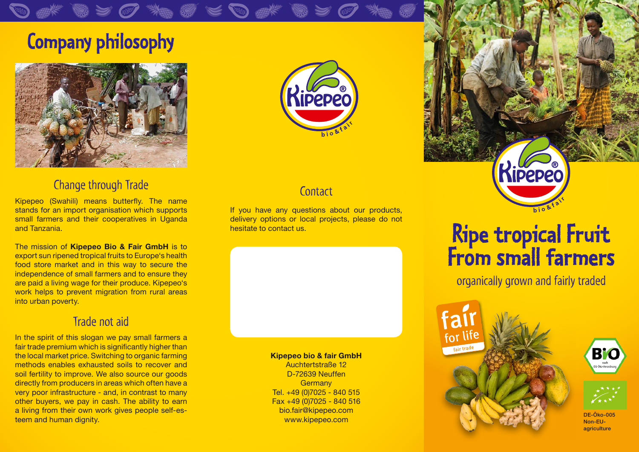### **Company philosophy**



### Change through Trade

Kipepeo (Swahili) means butterfly. The name stands for an import organisation which supports small farmers and their cooperatives in Uganda and Tanzania.

The mission of **Kipepeo Bio & Fair GmbH** is to export sun ripened tropical fruits to Europe's health food store market and in this way to secure the independence of small farmers and to ensure they are paid a living wage for their produce. Kipepeo's work helps to prevent migration from rural areas into urban poverty.

#### Trade not aid

In the spirit of this slogan we pay small farmers a fair trade premium which is significantly higher than the local market price. Switching to organic farming methods enables exhausted soils to recover and soil fertility to improve. We also source our goods directly from producers in areas which often have a very poor infrastructure - and, in contrast to many other buyers, we pay in cash. The ability to earn a living from their own work gives people self-esteem and human dignity.



### **Contact**

If you have any questions about our products, delivery options or local projects, please do not hesitate to contact us.

> **Kipepeo bio & fair GmbH** Auchtertstraße 12

D-72639 Neuffen **Germany** Tel. +49 (0)7025 - 840 515 Fax +49 (0)7025 - 840 516 bio.fair@kipepeo.com www.kipepeo.com



## **Ripe tropical Fruit From small farmers**

organically grown and fairly traded







DE-Öko-005 Non-EUagriculture